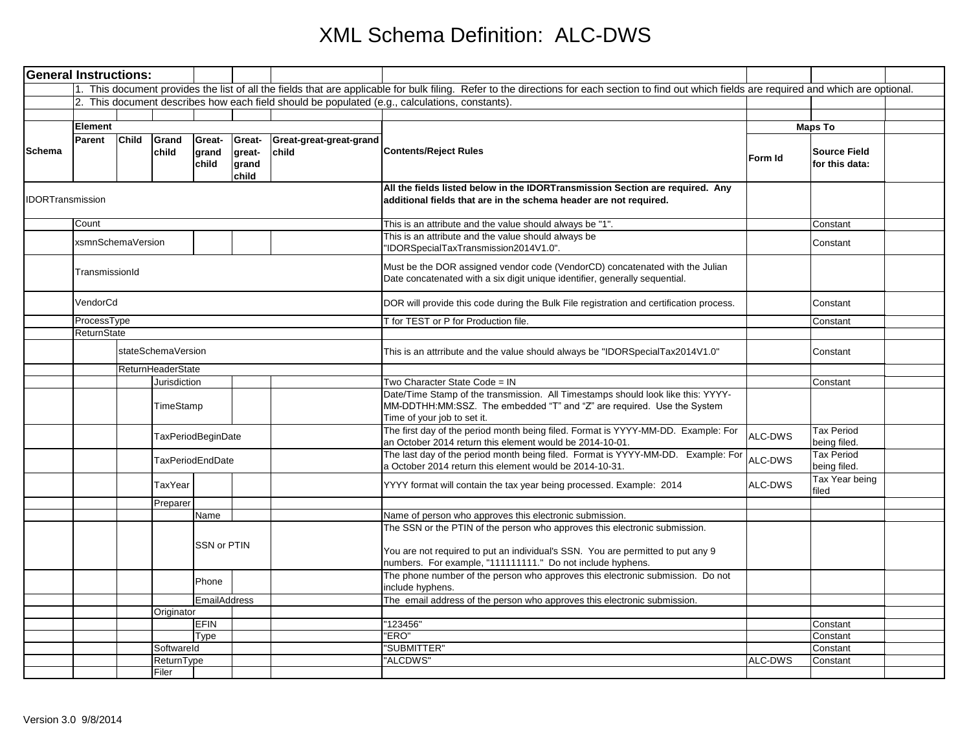| <b>General Instructions:</b> |         |                                                          |                           |                          |                                    |                                  |                                                                                                                                                                                                                             |                |                                       |  |
|------------------------------|---------|----------------------------------------------------------|---------------------------|--------------------------|------------------------------------|----------------------------------|-----------------------------------------------------------------------------------------------------------------------------------------------------------------------------------------------------------------------------|----------------|---------------------------------------|--|
|                              |         |                                                          |                           |                          |                                    |                                  | 1. This document provides the list of all the fields that are applicable for bulk filing. Refer to the directions for each section to find out which fields are required and which are optional.                            |                |                                       |  |
|                              |         |                                                          |                           |                          |                                    |                                  | 2. This document describes how each field should be populated (e.g., calculations, constants).                                                                                                                              |                |                                       |  |
|                              |         |                                                          |                           |                          |                                    |                                  |                                                                                                                                                                                                                             |                |                                       |  |
| Schema                       | Element |                                                          |                           |                          |                                    |                                  |                                                                                                                                                                                                                             | <b>Maps To</b> |                                       |  |
|                              | Parent  | Child                                                    | Grand<br>child            | Great-<br>grand<br>child | Great-<br>great-<br>grand<br>child | Great-great-great-grand<br>child | <b>Contents/Reject Rules</b>                                                                                                                                                                                                | Form Id        | <b>Source Field</b><br>for this data: |  |
| <b>IDORTransmission</b>      |         |                                                          |                           |                          |                                    |                                  | All the fields listed below in the IDORTransmission Section are required. Any<br>additional fields that are in the schema header are not required.                                                                          |                |                                       |  |
|                              | Count   |                                                          |                           |                          |                                    |                                  | This is an attribute and the value should always be "1".                                                                                                                                                                    |                | Constant                              |  |
|                              |         | xsmnSchemaVersion                                        |                           |                          |                                    |                                  | This is an attribute and the value should always be<br>'IDORSpecialTaxTransmission2014V1.0".                                                                                                                                |                | Constant                              |  |
|                              |         | TransmissionId<br>VendorCd<br>ProcessType<br>ReturnState |                           |                          |                                    |                                  | Must be the DOR assigned vendor code (VendorCD) concatenated with the Julian<br>Date concatenated with a six digit unique identifier, generally sequential.                                                                 |                |                                       |  |
|                              |         |                                                          |                           |                          |                                    |                                  | DOR will provide this code during the Bulk File registration and certification process.                                                                                                                                     |                | Constant                              |  |
|                              |         |                                                          |                           |                          |                                    |                                  | T for TEST or P for Production file.                                                                                                                                                                                        |                | Constant                              |  |
|                              |         |                                                          |                           |                          |                                    |                                  |                                                                                                                                                                                                                             |                |                                       |  |
|                              |         |                                                          | stateSchemaVersion        |                          |                                    |                                  | This is an attrribute and the value should always be "IDORSpecialTax2014V1.0"                                                                                                                                               |                | Constant                              |  |
|                              |         |                                                          | ReturnHeaderState         |                          |                                    |                                  |                                                                                                                                                                                                                             |                |                                       |  |
|                              |         |                                                          | Jurisdiction<br>TimeStamp |                          |                                    |                                  | Two Character State Code = IN<br>Date/Time Stamp of the transmission. All Timestamps should look like this: YYYY-<br>MM-DDTHH:MM:SSZ. The embedded "T" and "Z" are required. Use the System<br>Time of your job to set it.  |                | Constant                              |  |
|                              |         |                                                          |                           | TaxPeriodBeginDate       |                                    |                                  | The first day of the period month being filed. Format is YYYY-MM-DD. Example: For<br>an October 2014 return this element would be 2014-10-01.                                                                               | ALC-DWS        | <b>Tax Period</b><br>being filed.     |  |
|                              |         | <b>TaxPeriodEndDate</b>                                  |                           |                          |                                    |                                  | The last day of the period month being filed. Format is YYYY-MM-DD. Example: For<br>a October 2014 return this element would be 2014-10-31.                                                                                 | ALC-DWS        | <b>Tax Period</b><br>being filed.     |  |
|                              |         |                                                          | TaxYear                   |                          |                                    |                                  | YYYY format will contain the tax year being processed. Example: 2014                                                                                                                                                        | ALC-DWS        | Tax Year being<br>filed               |  |
|                              |         |                                                          | Preparer                  |                          |                                    |                                  |                                                                                                                                                                                                                             |                |                                       |  |
|                              |         |                                                          |                           | Name                     |                                    |                                  | Name of person who approves this electronic submission.                                                                                                                                                                     |                |                                       |  |
|                              |         |                                                          |                           | SSN or PTIN              |                                    |                                  | The SSN or the PTIN of the person who approves this electronic submission.<br>You are not required to put an individual's SSN. You are permitted to put any 9<br>numbers. For example, "111111111." Do not include hyphens. |                |                                       |  |
|                              |         |                                                          |                           | Phone                    |                                    |                                  | The phone number of the person who approves this electronic submission. Do not<br>include hyphens.                                                                                                                          |                |                                       |  |
|                              |         |                                                          |                           | <b>EmailAddress</b>      |                                    |                                  | The email address of the person who approves this electronic submission.                                                                                                                                                    |                |                                       |  |
|                              |         |                                                          | Originator                |                          |                                    |                                  |                                                                                                                                                                                                                             |                |                                       |  |
|                              |         |                                                          |                           | <b>EFIN</b>              |                                    |                                  | '123456"                                                                                                                                                                                                                    |                | Constant                              |  |
|                              |         |                                                          |                           | <b>Type</b>              |                                    |                                  | "ERO"                                                                                                                                                                                                                       |                | Constant                              |  |
|                              |         |                                                          | Softwareld                |                          |                                    |                                  | 'SUBMITTER"                                                                                                                                                                                                                 |                | Constant                              |  |
|                              |         |                                                          | ReturnType                |                          |                                    |                                  | 'ALCDWS'                                                                                                                                                                                                                    | ALC-DWS        | Constant                              |  |
|                              |         |                                                          | Filer                     |                          |                                    |                                  |                                                                                                                                                                                                                             |                |                                       |  |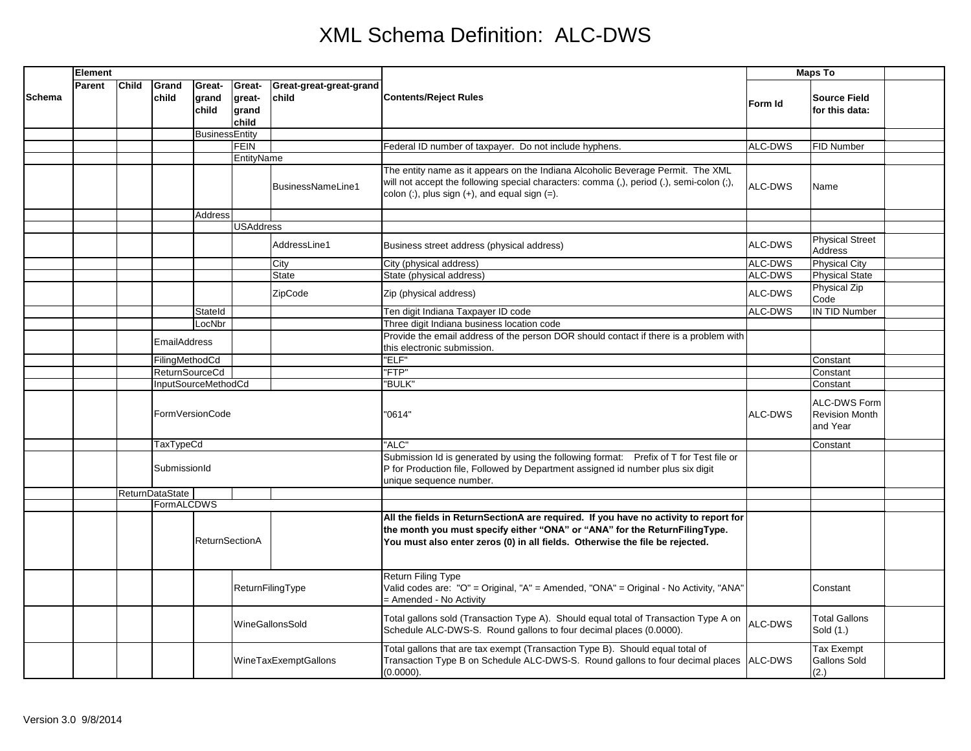|        | Element |              |                           |                          |                                    |                                                                                                                                                            |                                                                                                                                                                                                                                                    | <b>Maps To</b>                        |                                                   |  |
|--------|---------|--------------|---------------------------|--------------------------|------------------------------------|------------------------------------------------------------------------------------------------------------------------------------------------------------|----------------------------------------------------------------------------------------------------------------------------------------------------------------------------------------------------------------------------------------------------|---------------------------------------|---------------------------------------------------|--|
| Schema | Parent  | <b>Child</b> | Grand<br>child            | Great-<br>grand<br>child | Great-<br>great-<br>grand<br>child | Great-great-great-grand<br><b>Contents/Reject Rules</b><br>child                                                                                           | Form Id                                                                                                                                                                                                                                            | <b>Source Field</b><br>for this data: |                                                   |  |
|        |         |              |                           | <b>BusinessEntity</b>    |                                    |                                                                                                                                                            |                                                                                                                                                                                                                                                    |                                       |                                                   |  |
|        |         |              |                           |                          | <b>FEIN</b>                        |                                                                                                                                                            | Federal ID number of taxpayer. Do not include hyphens.                                                                                                                                                                                             | ALC-DWS                               | FID Number                                        |  |
|        |         |              |                           |                          | EntityName                         |                                                                                                                                                            |                                                                                                                                                                                                                                                    |                                       |                                                   |  |
|        |         |              |                           |                          |                                    | BusinessNameLine1                                                                                                                                          | The entity name as it appears on the Indiana Alcoholic Beverage Permit. The XML<br>will not accept the following special characters: comma (,), period (.), semi-colon (;),<br>colon $($ :), plus sign $(+)$ , and equal sign $(=)$ .              | ALC-DWS                               | Name                                              |  |
|        |         |              |                           | Address                  |                                    |                                                                                                                                                            |                                                                                                                                                                                                                                                    |                                       |                                                   |  |
|        |         |              |                           |                          | <b>USAddress</b>                   |                                                                                                                                                            |                                                                                                                                                                                                                                                    |                                       |                                                   |  |
|        |         |              |                           |                          |                                    | AddressLine1                                                                                                                                               | Business street address (physical address)                                                                                                                                                                                                         | ALC-DWS                               | <b>Physical Street</b><br><b>Address</b>          |  |
|        |         |              |                           |                          |                                    | City                                                                                                                                                       | City (physical address)                                                                                                                                                                                                                            | ALC-DWS                               | <b>Physical City</b>                              |  |
|        |         |              |                           |                          |                                    | <b>State</b>                                                                                                                                               | State (physical address)                                                                                                                                                                                                                           | ALC-DWS                               | <b>Physical State</b>                             |  |
|        |         |              |                           |                          |                                    | ZipCode                                                                                                                                                    | Zip (physical address)                                                                                                                                                                                                                             | ALC-DWS                               | Physical Zip<br>Code                              |  |
|        |         |              |                           | Stateld                  |                                    |                                                                                                                                                            | Ten digit Indiana Taxpayer ID code                                                                                                                                                                                                                 | ALC-DWS                               | IN TID Number                                     |  |
|        |         |              |                           | LocNbr                   |                                    |                                                                                                                                                            | Three digit Indiana business location code                                                                                                                                                                                                         |                                       |                                                   |  |
|        |         |              | <b>EmailAddress</b>       |                          |                                    |                                                                                                                                                            | Provide the email address of the person DOR should contact if there is a problem with<br>this electronic submission.                                                                                                                               |                                       |                                                   |  |
|        |         |              | FilingMethodCd            |                          |                                    |                                                                                                                                                            | "ELF"                                                                                                                                                                                                                                              |                                       | Constant                                          |  |
|        |         |              | <b>ReturnSourceCd</b>     |                          |                                    |                                                                                                                                                            | "FTP"                                                                                                                                                                                                                                              |                                       | Constant                                          |  |
|        |         |              |                           | InputSourceMethodCd      |                                    |                                                                                                                                                            | "BULK"                                                                                                                                                                                                                                             |                                       | Constant                                          |  |
|        |         |              |                           | FormVersionCode          |                                    |                                                                                                                                                            | "0614"                                                                                                                                                                                                                                             | ALC-DWS                               | ALC-DWS Form<br><b>Revision Month</b><br>and Year |  |
|        |         |              | TaxTypeCd<br>SubmissionId |                          |                                    |                                                                                                                                                            | "ALC"                                                                                                                                                                                                                                              |                                       | Constant                                          |  |
|        |         |              |                           |                          |                                    |                                                                                                                                                            | Submission Id is generated by using the following format: Prefix of T for Test file or<br>P for Production file, Followed by Department assigned id number plus six digit<br>unique sequence number.                                               |                                       |                                                   |  |
|        |         |              | ReturnDataState           |                          |                                    |                                                                                                                                                            |                                                                                                                                                                                                                                                    |                                       |                                                   |  |
|        |         |              | FormALCDWS                |                          |                                    |                                                                                                                                                            |                                                                                                                                                                                                                                                    |                                       |                                                   |  |
|        |         |              |                           | <b>ReturnSectionA</b>    |                                    |                                                                                                                                                            | All the fields in ReturnSectionA are required. If you have no activity to report for<br>the month you must specify either "ONA" or "ANA" for the ReturnFilingType.<br>You must also enter zeros (0) in all fields. Otherwise the file be rejected. |                                       |                                                   |  |
|        |         |              |                           |                          |                                    | ReturnFilingType                                                                                                                                           | <b>Return Filing Type</b><br>Valid codes are: "O" = Original, "A" = Amended, "ONA" = Original - No Activity, "ANA"<br>= Amended - No Activity                                                                                                      |                                       | Constant                                          |  |
|        |         |              | WineGallonsSold           |                          |                                    | Total gallons sold (Transaction Type A). Should equal total of Transaction Type A on<br>Schedule ALC-DWS-S. Round gallons to four decimal places (0.0000). | ALC-DWS                                                                                                                                                                                                                                            | <b>Total Gallons</b><br>Sold (1.)     |                                                   |  |
|        |         |              |                           |                          |                                    | WineTaxExemptGallons                                                                                                                                       | Total gallons that are tax exempt (Transaction Type B). Should equal total of<br>Transaction Type B on Schedule ALC-DWS-S. Round gallons to four decimal places<br>(0.0000).                                                                       | ALC-DWS                               | Tax Exempt<br><b>Gallons Sold</b><br>(2.)         |  |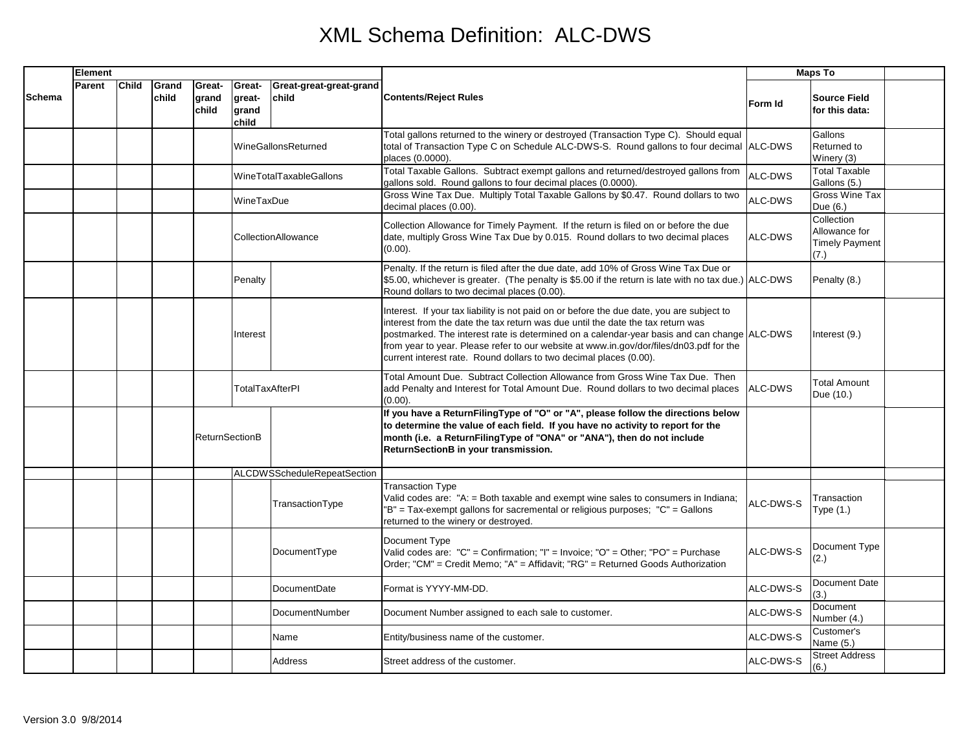|               | Element |              |                |                          |                                    |                                  |                                                                                                                                                                                                                                                                                                                                                                                                                                              | <b>Maps To</b> |                                                              |  |
|---------------|---------|--------------|----------------|--------------------------|------------------------------------|----------------------------------|----------------------------------------------------------------------------------------------------------------------------------------------------------------------------------------------------------------------------------------------------------------------------------------------------------------------------------------------------------------------------------------------------------------------------------------------|----------------|--------------------------------------------------------------|--|
| <b>Schema</b> | Parent  | <b>Child</b> | Grand<br>child | Great-<br>grand<br>child | Great-<br>great-<br>grand<br>child | Great-great-great-grand<br>child | <b>Contents/Reject Rules</b>                                                                                                                                                                                                                                                                                                                                                                                                                 | Form Id        | <b>Source Field</b><br>for this data:                        |  |
|               |         |              |                |                          |                                    | WineGallonsReturned              | Total gallons returned to the winery or destroyed (Transaction Type C). Should equal<br>total of Transaction Type C on Schedule ALC-DWS-S. Round gallons to four decimal ALC-DWS<br>places (0.0000).                                                                                                                                                                                                                                         |                | Gallons<br>Returned to<br>Winery (3)                         |  |
|               |         |              |                |                          |                                    | WineTotalTaxableGallons          | Total Taxable Gallons. Subtract exempt gallons and returned/destroyed gallons from<br>gallons sold. Round gallons to four decimal places (0.0000).                                                                                                                                                                                                                                                                                           | ALC-DWS        | <b>Total Taxable</b><br>Gallons (5.)                         |  |
|               |         |              |                |                          | WineTaxDue                         |                                  | Gross Wine Tax Due. Multiply Total Taxable Gallons by \$0.47. Round dollars to two<br>decimal places (0.00).                                                                                                                                                                                                                                                                                                                                 | ALC-DWS        | Gross Wine Tax<br>Due (6.)                                   |  |
|               |         |              |                |                          |                                    | CollectionAllowance              | Collection Allowance for Timely Payment. If the return is filed on or before the due<br>date, multiply Gross Wine Tax Due by 0.015. Round dollars to two decimal places<br>$(0.00)$ .                                                                                                                                                                                                                                                        | ALC-DWS        | Collection<br>Allowance for<br><b>Timely Payment</b><br>(7.) |  |
|               |         |              |                |                          | Penalty                            |                                  | Penalty. If the return is filed after the due date, add 10% of Gross Wine Tax Due or<br>\$5.00, whichever is greater. (The penalty is \$5.00 if the return is late with no tax due.) ALC-DWS<br>Round dollars to two decimal places (0.00).                                                                                                                                                                                                  |                | Penalty (8.)                                                 |  |
|               |         |              |                |                          | Interest                           |                                  | Interest. If your tax liability is not paid on or before the due date, you are subject to<br>interest from the date the tax return was due until the date the tax return was<br>postmarked. The interest rate is determined on a calendar-year basis and can change ALC-DWS<br>from year to year. Please refer to our website at www.in.gov/dor/files/dn03.pdf for the<br>current interest rate. Round dollars to two decimal places (0.00). |                | Interest (9.)                                                |  |
|               |         |              |                |                          | <b>TotalTaxAfterPI</b>             |                                  | Total Amount Due. Subtract Collection Allowance from Gross Wine Tax Due. Then<br>add Penalty and Interest for Total Amount Due. Round dollars to two decimal places<br>$(0.00)$ .                                                                                                                                                                                                                                                            | ALC-DWS        | <b>Total Amount</b><br>Due (10.)                             |  |
|               |         |              |                | <b>ReturnSectionB</b>    |                                    |                                  | If you have a ReturnFilingType of "O" or "A", please follow the directions below<br>to determine the value of each field. If you have no activity to report for the<br>month (i.e. a ReturnFilingType of "ONA" or "ANA"), then do not include<br>ReturnSectionB in your transmission.                                                                                                                                                        |                |                                                              |  |
|               |         |              |                |                          |                                    | ALCDWSScheduleRepeatSection      |                                                                                                                                                                                                                                                                                                                                                                                                                                              |                |                                                              |  |
|               |         |              |                |                          |                                    | TransactionType                  | <b>Transaction Type</b><br>Valid codes are: "A: = Both taxable and exempt wine sales to consumers in Indiana;<br>"B" = Tax-exempt gallons for sacremental or religious purposes; "C" = Gallons<br>returned to the winery or destroyed.                                                                                                                                                                                                       | ALC-DWS-S      | Transaction<br>Type (1.)                                     |  |
|               |         |              |                |                          |                                    | DocumentType                     | Document Type<br>Valid codes are: "C" = Confirmation; "I" = Invoice; "O" = Other; "PO" = Purchase<br>Order; "CM" = Credit Memo; "A" = Affidavit; "RG" = Returned Goods Authorization                                                                                                                                                                                                                                                         | ALC-DWS-S      | Document Type<br>(2.)                                        |  |
|               |         |              |                |                          |                                    | DocumentDate                     | Format is YYYY-MM-DD.                                                                                                                                                                                                                                                                                                                                                                                                                        | ALC-DWS-S      | Document Date<br>(3.)                                        |  |
|               |         |              |                |                          |                                    | DocumentNumber                   | Document Number assigned to each sale to customer.                                                                                                                                                                                                                                                                                                                                                                                           | ALC-DWS-S      | Document<br>Number (4.)                                      |  |
|               |         |              |                |                          |                                    | Name                             | Entity/business name of the customer.                                                                                                                                                                                                                                                                                                                                                                                                        | ALC-DWS-S      | Customer's<br>Name (5.)                                      |  |
|               |         |              |                |                          |                                    | Address                          | Street address of the customer.                                                                                                                                                                                                                                                                                                                                                                                                              | ALC-DWS-S      | <b>Street Address</b><br>(6.)                                |  |